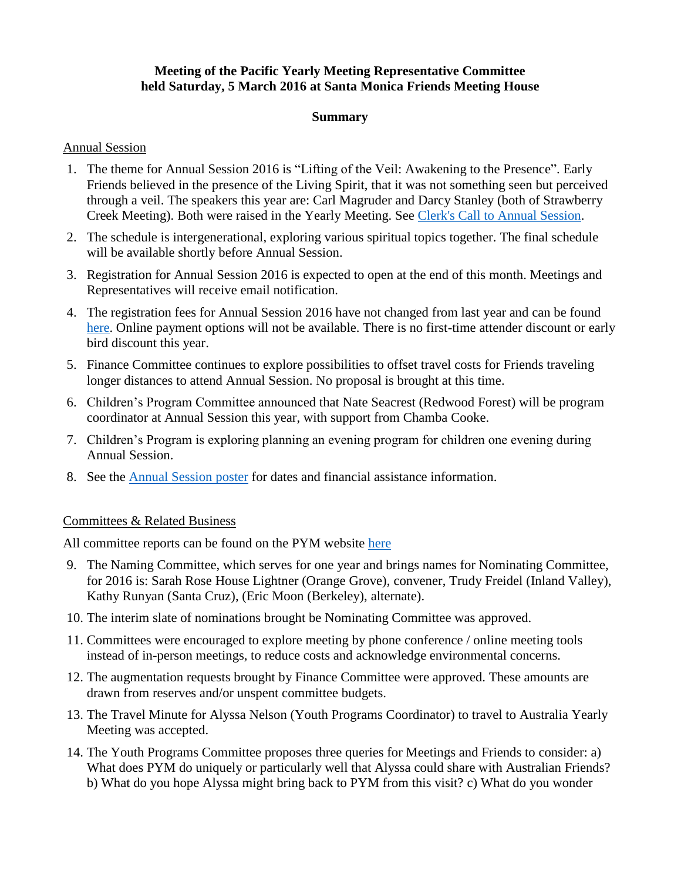# **Meeting of the Pacific Yearly Meeting Representative Committee held Saturday, 5 March 2016 at Santa Monica Friends Meeting House**

#### **Summary**

### Annual Session

- 1. The theme for Annual Session 2016 is "Lifting of the Veil: Awakening to the Presence". Early Friends believed in the presence of the Living Spirit, that it was not something seen but perceived through a veil. The speakers this year are: Carl Magruder and Darcy Stanley (both of Strawberry Creek Meeting). Both were raised in the Yearly Meeting. See [Clerk's Call to Annual Session.](http://www.pacificyearlymeeting.org/wordpress/wp-content/uploads/2010/08/PYM2016CalltoAnnualSession.Final_.v2pdf.pdf)
- 2. The schedule is intergenerational, exploring various spiritual topics together. The final schedule will be available shortly before Annual Session.
- 3. Registration for Annual Session 2016 is expected to open at the end of this month. Meetings and Representatives will receive email notification.
- 4. The registration fees for Annual Session 2016 have not changed from last year and can be found [here.](http://www.pacificyearlymeeting.org/wordpress/wp-content/uploads/2016/02/PrposedBudgetSessions2016.pdf) Online payment options will not be available. There is no first-time attender discount or early bird discount this year.
- 5. Finance Committee continues to explore possibilities to offset travel costs for Friends traveling longer distances to attend Annual Session. No proposal is brought at this time.
- 6. Children's Program Committee announced that Nate Seacrest (Redwood Forest) will be program coordinator at Annual Session this year, with support from Chamba Cooke.
- 7. Children's Program is exploring planning an evening program for children one evening during Annual Session.
- 8. See the [Annual Session poster](http://www.pacificyearlymeeting.org/wordpress/wp-content/uploads/2010/08/AnnualSessionPoster_v.4.pdf) for dates and financial assistance information.

## Committees & Related Business

All committee reports can be found on the PYM website [here](http://www.pacificyearlymeeting.org/2016/documents/pym-committee-reports/2016-repcom-reports/)

- 9. The Naming Committee, which serves for one year and brings names for Nominating Committee, for 2016 is: Sarah Rose House Lightner (Orange Grove), convener, Trudy Freidel (Inland Valley), Kathy Runyan (Santa Cruz), (Eric Moon (Berkeley), alternate).
- 10. The interim slate of nominations brought be Nominating Committee was approved.
- 11. Committees were encouraged to explore meeting by phone conference / online meeting tools instead of in-person meetings, to reduce costs and acknowledge environmental concerns.
- 12. The augmentation requests brought by Finance Committee were approved. These amounts are drawn from reserves and/or unspent committee budgets.
- 13. The Travel Minute for Alyssa Nelson (Youth Programs Coordinator) to travel to Australia Yearly Meeting was accepted.
- 14. The Youth Programs Committee proposes three queries for Meetings and Friends to consider: a) What does PYM do uniquely or particularly well that Alyssa could share with Australian Friends? b) What do you hope Alyssa might bring back to PYM from this visit? c) What do you wonder